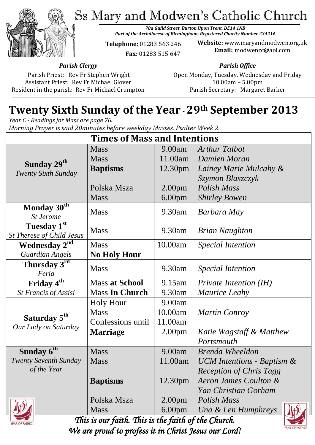Ss Mary and Modwen's Catholic Church



*78a Guild Street, Burton Upon Trent, DE14 1NB Part of the Archdiocese of Birmingham, Registered Charity Number 234216*

**Telephone:** 01283 563 246  **Fax:** 01283 515 647

**Website:** www.maryandmodwen.org.uk **Email:** modwenrc@aol.com

*Parish Clergy*

Parish Priest: Rev Fr Stephen Wright Assistant Priest: Rev Fr Michael Glover Resident in the parish: Rev Fr Michael Crumpton *Parish Office*

Open Monday, Tuesday, Wednesday and Friday 10.00am – 5.00pm Parish Secretary:Margaret Barker

# **Twenty Sixth Sunday of the Year -29th September 2013**

*Year C - Readings for Mass are page 76. Morning Prayer is said 20minutes before weekday Masses. Psalter Week 2.*

| <b>Times of Mass and Intentions</b>                   |                       |                    |                                |
|-------------------------------------------------------|-----------------------|--------------------|--------------------------------|
| Sunday 29 <sup>th</sup><br><b>Twenty Sixth Sunday</b> | <b>Mass</b>           | 9.00am             | <b>Arthur Talbot</b>           |
|                                                       | <b>Mass</b>           | 11.00am            | Damien Moran                   |
|                                                       | <b>Baptisms</b>       | 12.30pm            | Lainey Marie Mulcahy &         |
|                                                       |                       |                    | Szymon Blaszczyk               |
|                                                       | Polska Msza           | 2.00 <sub>pm</sub> | Polish Mass                    |
|                                                       | <b>Mass</b>           | 6.00 <sub>pm</sub> | <b>Shirley Bowen</b>           |
| Monday $30th$<br><b>St Jerome</b>                     | <b>Mass</b>           | 9.30am             | Barbara May                    |
| Tuesday 1st<br>St Therese of Child Jesus              | <b>Mass</b>           | 9.30am             | <b>Brian Naughton</b>          |
| Wednesday 2 <sup>nd</sup>                             | <b>Mass</b>           | 10.00am            | <b>Special Intention</b>       |
| <b>Guardian Angels</b>                                | <b>No Holy Hour</b>   |                    |                                |
| Thursday 3rd<br>Feria                                 | <b>Mass</b>           | 9.30am             | <b>Special Intention</b>       |
| Friday 4 <sup>th</sup>                                | <b>Mass at School</b> | 9.15am             | Private Intention (IH)         |
| St Francis of Assisi                                  | <b>Mass In Church</b> | 9.30am             | <b>Maurice Leahy</b>           |
| Saturday 5 <sup>th</sup><br>Our Lady on Saturday      | <b>Holy Hour</b>      | 9.00am             |                                |
|                                                       | <b>Mass</b>           | 10.00am            | <b>Martin Conroy</b>           |
|                                                       | Confessions until     | 11.00am            |                                |
|                                                       | <b>Marriage</b>       | 2.00 <sub>pm</sub> | Katie Wagstaff & Matthew       |
|                                                       |                       |                    | Portsmouth                     |
| Sunday 6 <sup>th</sup>                                | <b>Mass</b>           | 9.00am             | <b>Brenda Wheeldon</b>         |
| Twenty Seventh Sunday                                 | <b>Mass</b>           | 11.00am            | UCM Intentions - Baptism &     |
| of the Year                                           |                       |                    | <b>Reception of Chris Tagg</b> |
|                                                       | <b>Baptisms</b>       | 12.30pm            | Aeron James Coulton &          |
|                                                       |                       |                    | Yan Christian Gorham           |
|                                                       | Polska Msza           | 2.00 <sub>pm</sub> | Polish Mass                    |
|                                                       | <b>Mass</b>           | 6.00 <sub>pm</sub> | Una & Len Humphreys            |



*This is our faith. This is the faith of the Church. We are proud to profess it in Christ Jesus our Lord!* 

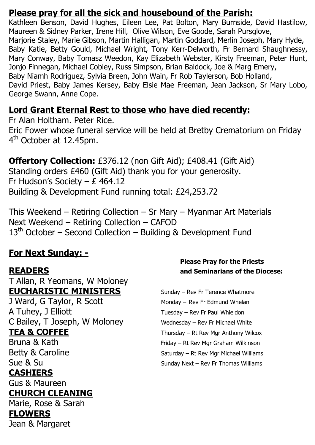### **Please pray for all the sick and housebound of the Parish:**

Kathleen Benson, David Hughes, Eileen Lee, Pat Bolton, Mary Burnside, David Hastilow, Maureen & Sidney Parker, Irene Hill, Olive Wilson, Eve Goode, Sarah Pursglove, Marjorie Staley, Marie Gibson, Martin Halligan, Martin Goddard, Merlin Joseph, Mary Hyde, Baby Katie, Betty Gould, Michael Wright, Tony Kerr-Delworth, Fr Bernard Shaughnessy, Mary Conway, Baby Tomasz Weedon, Kay Elizabeth Webster, Kirsty Freeman, Peter Hunt, Jonjo Finnegan, Michael Cobley, Russ Simpson, Brian Baldock, Joe & Marg Emery, Baby Niamh Rodriguez, Sylvia Breen, John Wain, Fr Rob Taylerson, Bob Holland, David Priest, Baby James Kersey, Baby Elsie Mae Freeman, Jean Jackson, Sr Mary Lobo, George Swann, Anne Cope.

## **Lord Grant Eternal Rest to those who have died recently:**

Fr Alan Holtham. Peter Rice. Eric Fower whose funeral service will be held at Bretby Crematorium on Friday 4<sup>th</sup> October at 12.45pm.

**Offertory Collection:** £376.12 (non Gift Aid); £408.41 (Gift Aid) Standing orders £460 (Gift Aid) thank you for your generosity. Fr Hudson's Society – £ 464.12 Building & Development Fund running total: £24,253.72

This Weekend – Retiring Collection – Sr Mary – Myanmar Art Materials Next Weekend – Retiring Collection – CAFOD 13<sup>th</sup> October – Second Collection – Building & Development Fund

## **For Next Sunday: -**

T Allan, R Yeomans, W Moloney **EUCHARISTIC MINISTERS** Sunday – Rev Fr Terence Whatmore

J Ward, G Taylor, R Scott Monday – Rev Fr Edmund Whelan A Tuhey, J Elliott Tuesday – Rev Fr Paul Whieldon C Bailey, T Joseph, W Moloney Wednesday – Rev Fr Michael White

### **CASHIERS**

Gus & Maureen

## **CHURCH CLEANING**

Marie, Rose & Sarah **FLOWERS**  Jean & Margaret

#### **Please Pray for the Priests READERS and Seminarians of the Diocese:**

**TEA & COFFEE** Thursday – Rt Rev Mgr Anthony Wilcox Bruna & Kath Friday – Rt Rev Mgr Graham Wilkinson Betty & Caroline Saturday – Rt Rev Mgr Michael Williams Sue & Su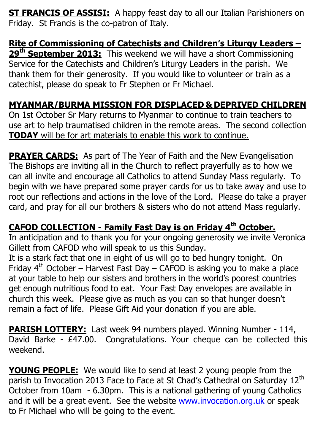**ST FRANCIS OF ASSISI:** A happy feast day to all our Italian Parishioners on Friday. St Francis is the co-patron of Italy.

#### **Rite of Commissioning of Catechists and Children's Liturgy Leaders – 29th September 2013:** This weekend we will have a short Commissioning Service for the Catechists and Children's Liturgy Leaders in the parish. We thank them for their generosity. If you would like to volunteer or train as a catechist, please do speak to Fr Stephen or Fr Michael.

## **MYANMAR/BURMA MISSION FOR DISPLACED & DEPRIVED CHILDREN**

On 1st October Sr Mary returns to Myanmar to continue to train teachers to use art to help traumatised children in the remote areas. The second collection **TODAY** will be for art materials to enable this work to continue.

**PRAYER CARDS:** As part of The Year of Faith and the New Evangelisation The Bishops are inviting all in the Church to reflect prayerfully as to how we can all invite and encourage all Catholics to attend Sunday Mass regularly. To begin with we have prepared some prayer cards for us to take away and use to root our reflections and actions in the love of the Lord. Please do take a prayer card, and pray for all our brothers & sisters who do not attend Mass regularly.

## **CAFOD COLLECTION - Family Fast Day is on Friday 4th October.**

In anticipation and to thank you for your ongoing generosity we invite Veronica Gillett from CAFOD who will speak to us this Sunday.

It is a stark fact that one in eight of us will go to bed hungry tonight. On Friday  $4<sup>th</sup>$  October – Harvest Fast Day – CAFOD is asking you to make a place at your table to help our sisters and brothers in the world's poorest countries get enough nutritious food to eat. Your Fast Day envelopes are available in church this week. Please give as much as you can so that hunger doesn't remain a fact of life. Please Gift Aid your donation if you are able.

**PARISH LOTTERY:** Last week 94 numbers played. Winning Number - 114, David Barke - £47.00. Congratulations. Your cheque can be collected this weekend.

**YOUNG PEOPLE:** We would like to send at least 2 young people from the parish to Invocation 2013 Face to Face at St Chad's Cathedral on Saturday 12<sup>th</sup> October from 10am - 6.30pm. This is a national gathering of young Catholics and it will be a great event. See the website [www.invocation.org.uk](http://www.invocation.org.uk/) or speak to Fr Michael who will be going to the event.